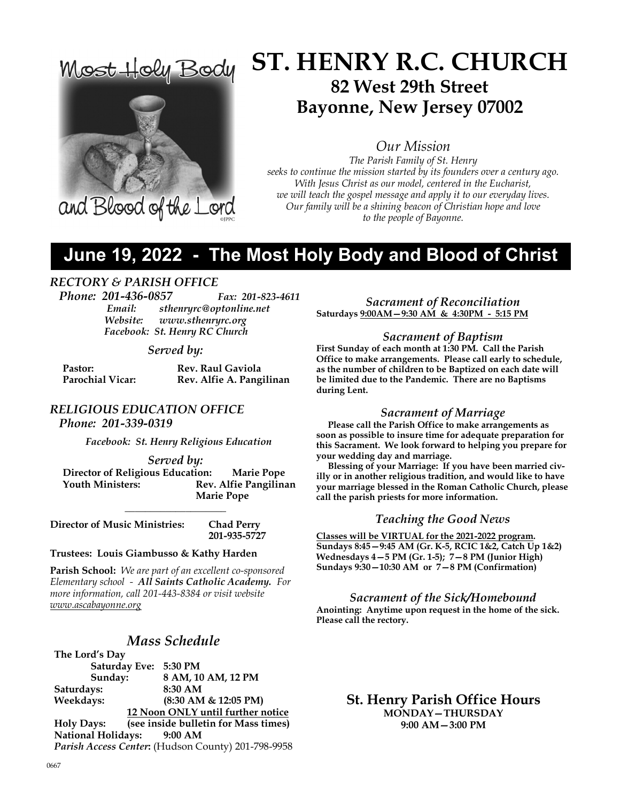

# ST. HENRY R.C. CHURCH 82 West 29th Street Bayonne, New Jersey 07002

Our Mission

The Parish Family of St. Henry seeks to continue the mission started by its founders over a century ago. With Jesus Christ as our model, centered in the Eucharist, we will teach the gospel message and apply it to our everyday lives. Our family will be a shining beacon of Christian hope and love to the people of Bayonne.

# June 19, 2022 - The Most Holy Body and Blood of Christ

### RECTORY & PARISH OFFICE

Phone: 201-436-0857 Fax: 201-823-4611 Email: sthenryrc@optonline.net Website: www.sthenryrc.org Facebook: St. Henry RC Church

#### Served by:

| Pastor:                 | <b>Rev. Raul Gaviola</b> |
|-------------------------|--------------------------|
| <b>Parochial Vicar:</b> | Rev. Alfie A. Pangilinan |

## RELIGIOUS EDUCATION OFFICE

Phone: 201-339-0319

Facebook: St. Henry Religious Education

#### Served by:

 Director of Religious Education: Marie Pope Rev. Alfie Pangilinan Marie Pope

 $\overline{\phantom{a}}$  , where  $\overline{\phantom{a}}$  , where  $\overline{\phantom{a}}$ 

Director of Music Ministries: Chad Perry 201-935-5727

#### Trustees: Louis Giambusso & Kathy Harden

Parish School: We are part of an excellent co-sponsored Elementary school - All Saints Catholic Academy. For more information, call 201-443-8384 or visit website www.ascabayonne.org

### Mass Schedule

The Lord's Day Saturday Eve: 5:30 PM Sunday: 8 AM, 10 AM, 12 PM Saturdays: 8:30 AM Weekdays: (8:30 AM & 12:05 PM) 12 Noon ONLY until further notice Holy Days: (see inside bulletin for Mass times) National Holidays: 9:00 AM Parish Access Center: (Hudson County) 201-798-9958

Sacrament of Reconciliation Saturdays 9:00AM—9:30 AM & 4:30PM - 5:15 PM

#### Sacrament of Baptism

First Sunday of each month at 1:30 PM. Call the Parish Office to make arrangements. Please call early to schedule, as the number of children to be Baptized on each date will be limited due to the Pandemic. There are no Baptisms during Lent.

#### Sacrament of Marriage

 Please call the Parish Office to make arrangements as soon as possible to insure time for adequate preparation for this Sacrament. We look forward to helping you prepare for your wedding day and marriage.

 Blessing of your Marriage: If you have been married civilly or in another religious tradition, and would like to have your marriage blessed in the Roman Catholic Church, please call the parish priests for more information.

#### Teaching the Good News

Classes will be VIRTUAL for the 2021-2022 program. Sundays 8:45—9:45 AM (Gr. K-5, RCIC 1&2, Catch Up 1&2) Wednesdays 4—5 PM (Gr. 1-5); 7—8 PM (Junior High) Sundays 9:30—10:30 AM or 7—8 PM (Confirmation)

Sacrament of the Sick/Homebound Anointing: Anytime upon request in the home of the sick. Please call the rectory.

> St. Henry Parish Office Hours MONDAY—THURSDAY 9:00 AM—3:00 PM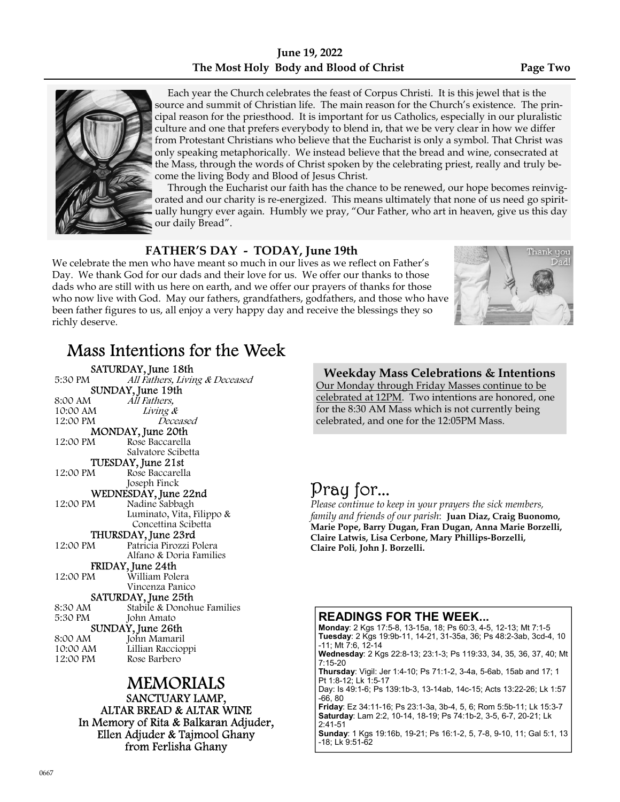## June 19, 2022 The Most Holy Body and Blood of Christ Page Two



 Each year the Church celebrates the feast of Corpus Christi. It is this jewel that is the source and summit of Christian life. The main reason for the Church's existence. The principal reason for the priesthood. It is important for us Catholics, especially in our pluralistic culture and one that prefers everybody to blend in, that we be very clear in how we differ from Protestant Christians who believe that the Eucharist is only a symbol. That Christ was only speaking metaphorically. We instead believe that the bread and wine, consecrated at the Mass, through the words of Christ spoken by the celebrating priest, really and truly become the living Body and Blood of Jesus Christ.

 Through the Eucharist our faith has the chance to be renewed, our hope becomes reinvigorated and our charity is re-energized. This means ultimately that none of us need go spiritually hungry ever again. Humbly we pray, "Our Father, who art in heaven, give us this day our daily Bread".

## FATHER'S DAY - TODAY, June 19th

We celebrate the men who have meant so much in our lives as we reflect on Father's Day. We thank God for our dads and their love for us. We offer our thanks to those dads who are still with us here on earth, and we offer our prayers of thanks for those who now live with God. May our fathers, grandfathers, godfathers, and those who have been father figures to us, all enjoy a very happy day and receive the blessings they so richly deserve.



# Mass Intentions for the Week

**SATURDAY, June 18th**<br>5:30 PM *All Fathers, Livir* All Fathers, Living & Deceased **SUNDAY, June 19th**<br>8:00 AM *All Fathers*. All Fathers, 10:00 AM Living &<br>12:00 PM Dece Deceased **MONDAY, June 20th**<br>12:00 PM Rose Baccarella Rose Baccarella Salvatore Scibetta **TUESDAY, June 21st**<br>12:00 PM Rose Baccarell Rose Baccarella Joseph Finck WEDNESDAY, June 22nd<br>12:00 PM Nadine Sabbash Nadine Sabbagh Luminato, Vita, Filippo & Concettina Scibetta **THURSDAY, June 23rd**<br>12:00 PM Patricia Pirozzi P Patricia Pirozzi Polera Alfano & Doria Families **FRIDAY, June 24th**<br>12:00 PM William Pole William Polera Vincenza Panico **SATURDAY, June 25th**<br>8:30 AM Stabile & Donoh 8:30 AM Stabile & Donohue Families<br>5:30 PM John Amato John Amato SUNDAY, June 26th 8:00 AM John Mamaril 10:00 AM Lillian Raccioppi<br>12:00 PM Rose Barbero Rose Barbero

### MEMORIALS SANCTUARY LAMP, ALTAR BREAD & ALTAR WINE In Memory of Rita & Balkaran Adjuder, Ellen Adjuder & Tajmool Ghany from Ferlisha Ghany

Weekday Mass Celebrations & Intentions Our Monday through Friday Masses continue to be celebrated at 12PM. Two intentions are honored, one for the 8:30 AM Mass which is not currently being celebrated, and one for the 12:05PM Mass.

# Pray for...

Please continue to keep in your prayers the sick members, family and friends of our parish: Juan Diaz, Craig Buonomo, Marie Pope, Barry Dugan, Fran Dugan, Anna Marie Borzelli, Claire Latwis, Lisa Cerbone, Mary Phillips-Borzelli, Claire Poli, John J. Borzelli.

### READINGS FOR THE WEEK...

Monday: 2 Kgs 17:5-8, 13-15a, 18; Ps 60:3, 4-5, 12-13; Mt 7:1-5 Tuesday: 2 Kgs 19:9b-11, 14-21, 31-35a, 36; Ps 48:2-3ab, 3cd-4, 10 -11; Mt 7:6, 12-14 Wednesday: 2 Kgs 22:8-13; 23:1-3; Ps 119:33, 34, 35, 36, 37, 40; Mt 7:15-20

Thursday: Vigil: Jer 1:4-10; Ps 71:1-2, 3-4a, 5-6ab, 15ab and 17; 1 Pt 1:8-12; Lk 1:5-17

Day: Is 49:1-6; Ps 139:1b-3, 13-14ab, 14c-15; Acts 13:22-26; Lk 1:57 -66, 80

Friday: Ez 34:11-16; Ps 23:1-3a, 3b-4, 5, 6; Rom 5:5b-11; Lk 15:3-7 Saturday: Lam 2:2, 10-14, 18-19; Ps 74:1b-2, 3-5, 6-7, 20-21; Lk 2:41-51

Sunday: 1 Kgs 19:16b, 19-21; Ps 16:1-2, 5, 7-8, 9-10, 11; Gal 5:1, 13 -18; Lk 9:51-62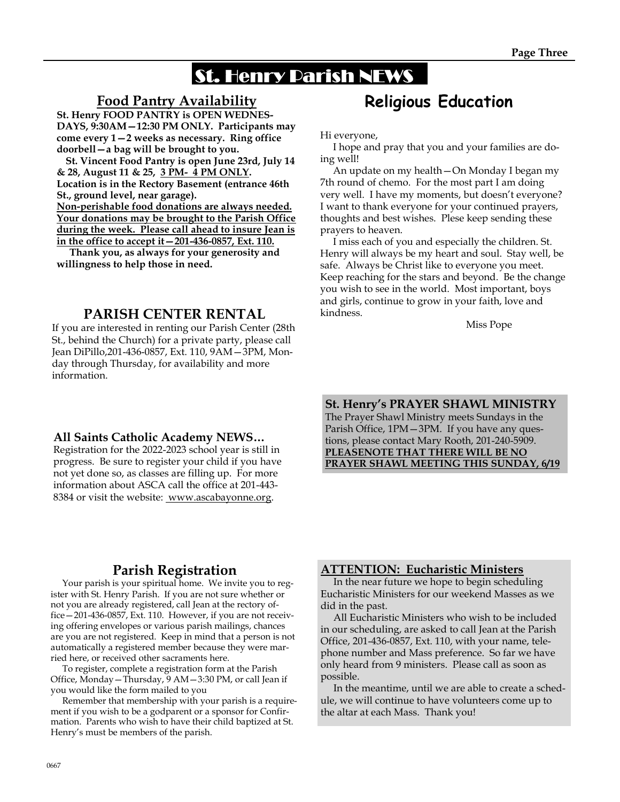# St. Henry Parish NEWS

## Food Pantry Availability

St. Henry FOOD PANTRY is OPEN WEDNES-DAYS, 9:30AM—12:30 PM ONLY. Participants may come every 1—2 weeks as necessary. Ring office doorbell—a bag will be brought to you.

 St. Vincent Food Pantry is open June 23rd, July 14 & 28, August 11 & 25, 3 PM- 4 PM ONLY. Location is in the Rectory Basement (entrance 46th St., ground level, near garage). Non-perishable food donations are always needed. Your donations may be brought to the Parish Office during the week. Please call ahead to insure Jean is in the office to accept it—201-436-0857, Ext. 110.

 Thank you, as always for your generosity and willingness to help those in need.

## PARISH CENTER RENTAL

If you are interested in renting our Parish Center (28th St., behind the Church) for a private party, please call Jean DiPillo,201-436-0857, Ext. 110, 9AM—3PM, Monday through Thursday, for availability and more information.

### All Saints Catholic Academy NEWS…

Registration for the 2022-2023 school year is still in progress. Be sure to register your child if you have not yet done so, as classes are filling up. For more information about ASCA call the office at 201-443- 8384 or visit the website: www.ascabayonne.org.

# Religious Education

Hi everyone,

 I hope and pray that you and your families are doing well!

 An update on my health—On Monday I began my 7th round of chemo. For the most part I am doing very well. I have my moments, but doesn't everyone? I want to thank everyone for your continued prayers, thoughts and best wishes. Plese keep sending these prayers to heaven.

 I miss each of you and especially the children. St. Henry will always be my heart and soul. Stay well, be safe. Always be Christ like to everyone you meet. Keep reaching for the stars and beyond. Be the change you wish to see in the world. Most important, boys and girls, continue to grow in your faith, love and kindness.

Miss Pope

St. Henry's PRAYER SHAWL MINISTRY The Prayer Shawl Ministry meets Sundays in the Parish Office, 1PM—3PM. If you have any questions, please contact Mary Rooth, 201-240-5909. PLEASENOTE THAT THERE WILL BE NO PRAYER SHAWL MEETING THIS SUNDAY, 6/19

## Parish Registration

 Your parish is your spiritual home. We invite you to register with St. Henry Parish. If you are not sure whether or not you are already registered, call Jean at the rectory office—201-436-0857, Ext. 110. However, if you are not receiving offering envelopes or various parish mailings, chances are you are not registered. Keep in mind that a person is not automatically a registered member because they were married here, or received other sacraments here.

 To register, complete a registration form at the Parish Office, Monday—Thursday, 9 AM—3:30 PM, or call Jean if you would like the form mailed to you

 Remember that membership with your parish is a requirement if you wish to be a godparent or a sponsor for Confirmation. Parents who wish to have their child baptized at St. Henry's must be members of the parish.

### ATTENTION: Eucharistic Ministers

 In the near future we hope to begin scheduling Eucharistic Ministers for our weekend Masses as we did in the past.

 All Eucharistic Ministers who wish to be included in our scheduling, are asked to call Jean at the Parish Office, 201-436-0857, Ext. 110, with your name, telephone number and Mass preference. So far we have only heard from 9 ministers. Please call as soon as possible.

 In the meantime, until we are able to create a schedule, we will continue to have volunteers come up to the altar at each Mass. Thank you!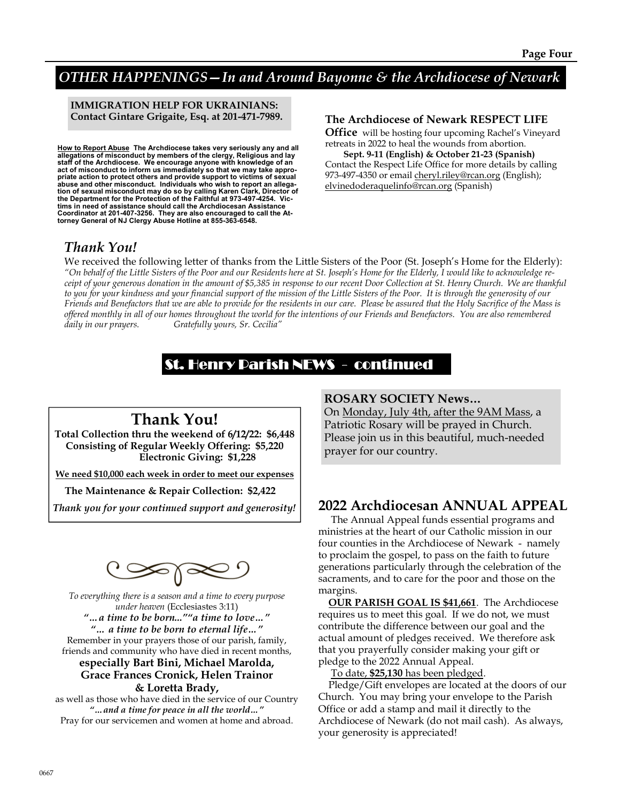# OTHER HAPPENINGS—In and Around Bayonne & the Archdiocese of Newark

IMMIGRATION HELP FOR UKRAINIANS: Contact Gintare Grigaite, Esq. at 201-471-7989.

<u>How to Report Abuse</u> The Archdiocese takes very seriously any and all<br>allegations of misconduct by members of the clergy, Religious and lay<br>staff of the Archdiocese. We encourage anyone with knowledge of an act of misconduct to inform us immediately so that we may take appropriate action to protect others and provide support to victims of sexual abuse and other misconduct. Individuals who wish to report an allegation of sexual misconduct may do so by calling Karen Clark, Director of<br>the Department for the Protection of the Faithful at 973-497-4254. Vic-<br>tims in need of assistance should call the Archdiocesan Assistance<br>Coordinator

#### The Archdiocese of Newark RESPECT LIFE

Office will be hosting four upcoming Rachel's Vineyard retreats in 2022 to heal the wounds from abortion.

 Sept. 9-11 (English) & October 21-23 (Spanish) Contact the Respect Life Office for more details by calling 973-497-4350 or email cheryl.riley@rcan.org (English); elvinedoderaquelinfo@rcan.org (Spanish)

## Thank You!

We received the following letter of thanks from the Little Sisters of the Poor (St. Joseph's Home for the Elderly): "On behalf of the Little Sisters of the Poor and our Residents here at St. Joseph's Home for the Elderly, I would like to acknowledge receipt of your generous donation in the amount of \$5,385 in response to our recent Door Collection at St. Henry Church. We are thankful to you for your kindness and your financial support of the mission of the Little Sisters of the Poor. It is through the generosity of our Friends and Benefactors that we are able to provide for the residents in our care. Please be assured that the Holy Sacrifice of the Mass is offered monthly in all of our homes throughout the world for the intentions of our Friends and Benefactors. You are also remembered daily in our prayers. Gratefully yours, Sr. Cecilia"

# St. Henry Parish NEWS - continued

# Thank You!

Total Collection thru the weekend of 6/12/22: \$6,448 Consisting of Regular Weekly Offering: \$5,220 Electronic Giving: \$1,228

We need \$10,000 each week in order to meet our expenses

The Maintenance & Repair Collection: \$2,422

Thank you for your continued support and generosity!

To everything there is a season and a time to every purpose under heaven (Ecclesiastes 3:11) "…a time to be born...""a time to love…" "… a time to be born to eternal life…" Remember in your prayers those of our parish, family, friends and community who have died in recent months,

### especially Bart Bini, Michael Marolda, Grace Frances Cronick, Helen Trainor & Loretta Brady,

as well as those who have died in the service of our Country "…and a time for peace in all the world…" Pray for our servicemen and women at home and abroad.

#### ROSARY SOCIETY News…

On Monday, July 4th, after the 9AM Mass, a Patriotic Rosary will be prayed in Church. Please join us in this beautiful, much-needed prayer for our country.

## 2022 Archdiocesan ANNUAL APPEAL

 The Annual Appeal funds essential programs and ministries at the heart of our Catholic mission in our four counties in the Archdiocese of Newark - namely to proclaim the gospel, to pass on the faith to future generations particularly through the celebration of the sacraments, and to care for the poor and those on the margins.

 OUR PARISH GOAL IS \$41,661. The Archdiocese requires us to meet this goal. If we do not, we must contribute the difference between our goal and the actual amount of pledges received. We therefore ask that you prayerfully consider making your gift or pledge to the 2022 Annual Appeal.

To date, \$25,130 has been pledged.

 Pledge/Gift envelopes are located at the doors of our Church. You may bring your envelope to the Parish Office or add a stamp and mail it directly to the Archdiocese of Newark (do not mail cash). As always, your generosity is appreciated!